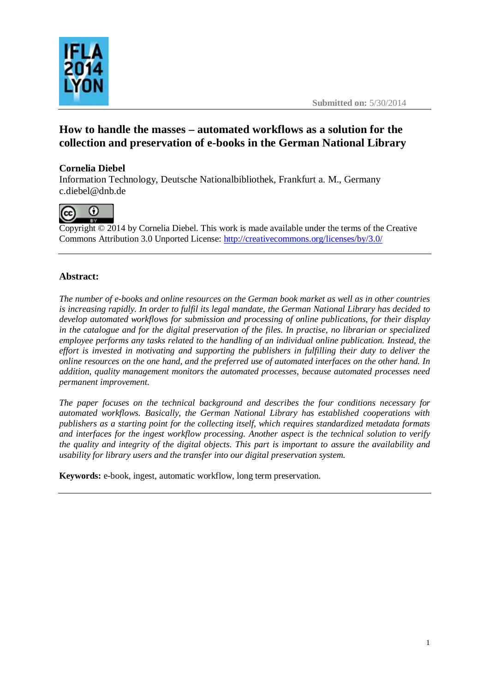



# **How to handle the masses – automated workflows as a solution for the collection and preservation of e-books in the German National Library**

# **Cornelia Diebel**

Information Technology, Deutsche Nationalbibliothek, Frankfurt a. M., Germany [c.diebel@dnb.de](mailto:c.diebel@dnb.de)



Copyright © 2014 by Cornelia Diebel. This work is made available under the terms of the Creative Commons Attribution 3.0 Unported License: <http://creativecommons.org/licenses/by/3.0/>

# **Abstract:**

*The number of e-books and online resources on the German book market as well as in other countries is increasing rapidly. In order to fulfil its legal mandate, the German National Library has decided to develop automated workflows for submission and processing of online publications, for their display in the catalogue and for the digital preservation of the files. In practise, no librarian or specialized employee performs any tasks related to the handling of an individual online publication. Instead, the effort is invested in motivating and supporting the publishers in fulfilling their duty to deliver the online resources on the one hand, and the preferred use of automated interfaces on the other hand. In addition, quality management monitors the automated processes, because automated processes need permanent improvement.*

*The paper focuses on the technical background and describes the four conditions necessary for automated workflows. Basically, the German National Library has established cooperations with publishers as a starting point for the collecting itself, which requires standardized metadata formats and interfaces for the ingest workflow processing. Another aspect is the technical solution to verify the quality and integrity of the digital objects. This part is important to assure the availability and usability for library users and the transfer into our digital preservation system.* 

**Keywords:** e-book, ingest, automatic workflow, long term preservation.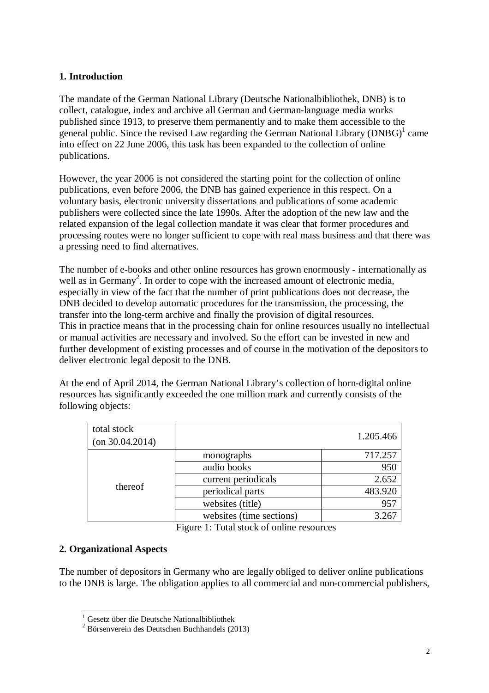### **1. Introduction**

The mandate of the German National Library (Deutsche Nationalbibliothek, DNB) is to collect, catalogue, index and archive all German and German-language media works published since 1913, to preserve them permanently and to make them accessible to the general public. Since the revised Law regarding the German National Library  $(DNBG)^1$  came into effect on 22 June 2006, this task has been expanded to the collection of online publications.

However, the year 2006 is not considered the starting point for the collection of online publications, even before 2006, the DNB has gained experience in this respect. On a voluntary basis, electronic university dissertations and publications of some academic publishers were collected since the late 1990s. After the adoption of the new law and the related expansion of the legal collection mandate it was clear that former procedures and processing routes were no longer sufficient to cope with real mass business and that there was a pressing need to find alternatives.

The number of e-books and other online resources has grown enormously - internationally as well as in Germany<sup>2</sup>. In order to cope with the increased amount of electronic media, especially in view of the fact that the number of print publications does not decrease, the DNB decided to develop automatic procedures for the transmission, the processing, the transfer into the long-term archive and finally the provision of digital resources. This in practice means that in the processing chain for online resources usually no intellectual or manual activities are necessary and involved. So the effort can be invested in new and further development of existing processes and of course in the motivation of the depositors to deliver electronic legal deposit to the DNB.

At the end of April 2014, the German National Library's collection of born-digital online resources has significantly exceeded the one million mark and currently consists of the following objects:

| total stock           |                          |           |
|-----------------------|--------------------------|-----------|
| $($ on 30.04.2014 $)$ |                          | 1.205.466 |
| thereof               | monographs               | 717.257   |
|                       | audio books              | 950       |
|                       | current periodicals      | 2.652     |
|                       | periodical parts         | 483.920   |
|                       | websites (title)         | 957       |
|                       | websites (time sections) | 3.267     |

Figure 1: Total stock of online resources

### **2. Organizational Aspects**

The number of depositors in Germany who are legally obliged to deliver online publications to the DNB is large. The obligation applies to all commercial and non-commercial publishers,

 $\overline{a}$ <sup>1</sup> Gesetz über die Deutsche Nationalbibliothek

<sup>2</sup> Börsenverein des Deutschen Buchhandels (2013)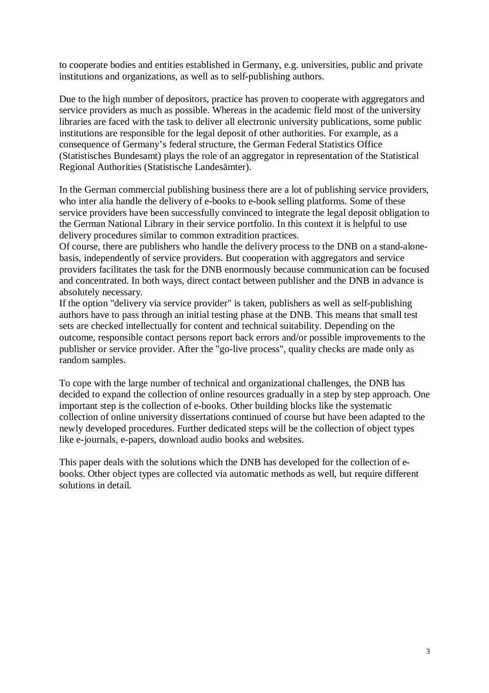to cooperate bodies and entities established in Germany, e.g. universities, public and private institutions and organizations, as well as to self-publishing authors.

Due to the high number of depositors, practice has proven to cooperate with aggregators and service providers as much as possible. Whereas in the academic field most of the university libraries are faced with the task to deliver all electronic university publications, some public institutions are responsible for the legal deposit of other authorities. For example, as a consequence of Germany's federal structure, the German Federal Statistics Office (Statistisches Bundesamt) plays the role of an aggregator in representation of the Statistical Regional Authorities (Statistische Landesämter).

In the German commercial publishing business there are a lot of publishing service providers, who inter alia handle the delivery of e-books to e-book selling platforms. Some of these service providers have been successfully convinced to integrate the legal deposit obligation to the German National Library in their service portfolio. In this context it is helpful to use delivery procedures similar to common extradition practices.

Of course, there are publishers who handle the delivery process to the DNB on a stand-alonebasis, independently of service providers. But cooperation with aggregators and service providers facilitates the task for the DNB enormously because communication can be focused and concentrated. In both ways, direct contact between publisher and the DNB in advance is absolutely necessary.

If the option "delivery via service provider" is taken, publishers as well as self-publishing authors have to pass through an initial testing phase at the DNB. This means that small test sets are checked intellectually for content and technical suitability. Depending on the outcome, responsible contact persons report back errors and/or possible improvements to the publisher or service provider. After the "go-live process", quality checks are made only as random samples.

To cope with the large number of technical and organizational challenges, the DNB has decided to expand the collection of online resources gradually in a step by step approach. One important step is the collection of e-books. Other building blocks like the systematic collection of online university dissertations continued of course but have been adapted to the newly developed procedures. Further dedicated steps will be the collection of object types like e-journals, e-papers, download audio books and websites.

This paper deals with the solutions which the DNB has developed for the collection of ebooks. Other object types are collected via automatic methods as well, but require different solutions in detail.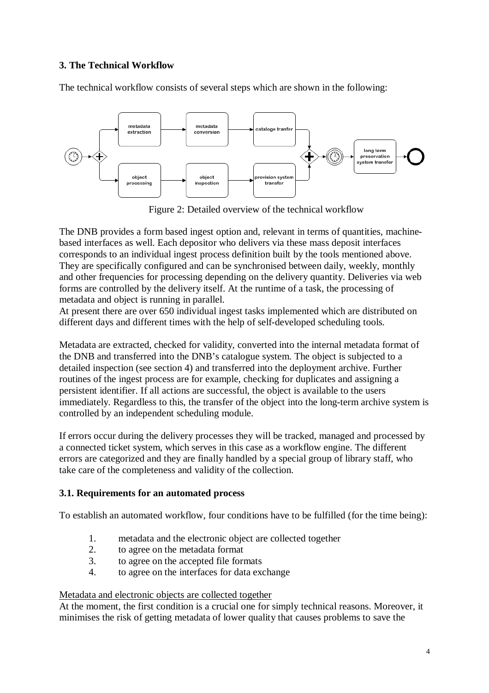# **3. The Technical Workflow**

The technical workflow consists of several steps which are shown in the following:



Figure 2: Detailed overview of the technical workflow

The DNB provides a form based ingest option and, relevant in terms of quantities, machinebased interfaces as well. Each depositor who delivers via these mass deposit interfaces corresponds to an individual ingest process definition built by the tools mentioned above. They are specifically configured and can be synchronised between daily, weekly, monthly and other frequencies for processing depending on the delivery quantity. Deliveries via web forms are controlled by the delivery itself. At the runtime of a task, the processing of metadata and object is running in parallel.

At present there are over 650 individual ingest tasks implemented which are distributed on different days and different times with the help of self-developed scheduling tools.

Metadata are extracted, checked for validity, converted into the internal metadata format of the DNB and transferred into the DNB's catalogue system. The object is subjected to a detailed inspection (see section 4) and transferred into the deployment archive. Further routines of the ingest process are for example, checking for duplicates and assigning a persistent identifier. If all actions are successful, the object is available to the users immediately. Regardless to this, the transfer of the object into the long-term archive system is controlled by an independent scheduling module.

If errors occur during the delivery processes they will be tracked, managed and processed by a connected ticket system, which serves in this case as a workflow engine. The different errors are categorized and they are finally handled by a special group of library staff, who take care of the completeness and validity of the collection.

# **3.1. Requirements for an automated process**

To establish an automated workflow, four conditions have to be fulfilled (for the time being):

- 1. metadata and the electronic object are collected together
- 2. to agree on the metadata format
- 3. to agree on the accepted file formats
- 4. to agree on the interfaces for data exchange

# Metadata and electronic objects are collected together

At the moment, the first condition is a crucial one for simply technical reasons. Moreover, it minimises the risk of getting metadata of lower quality that causes problems to save the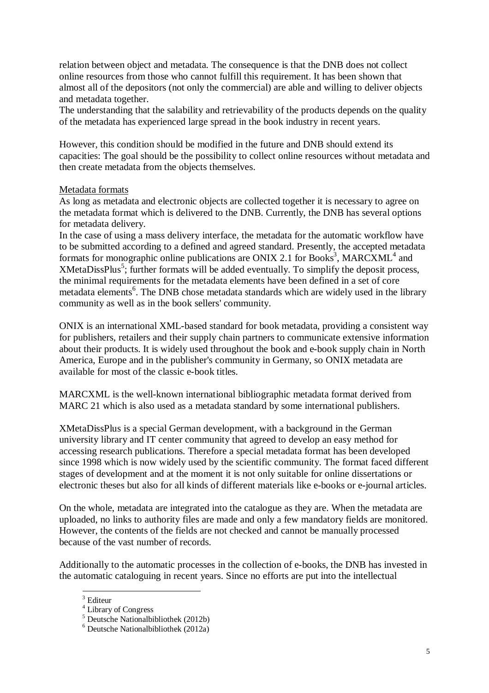relation between object and metadata. The consequence is that the DNB does not collect online resources from those who cannot fulfill this requirement. It has been shown that almost all of the depositors (not only the commercial) are able and willing to deliver objects and metadata together.

The understanding that the salability and retrievability of the products depends on the quality of the metadata has experienced large spread in the book industry in recent years.

However, this condition should be modified in the future and DNB should extend its capacities: The goal should be the possibility to collect online resources without metadata and then create metadata from the objects themselves.

#### Metadata formats

As long as metadata and electronic objects are collected together it is necessary to agree on the metadata format which is delivered to the DNB. Currently, the DNB has several options for metadata delivery.

In the case of using a mass delivery interface, the metadata for the automatic workflow have to be submitted according to a defined and agreed standard. Presently, the accepted metadata formats for monographic online publications are ONIX 2.1 for Books<sup>3</sup>, MARCXML<sup>4</sup> and XMetaDissPlus<sup>5</sup>; further formats will be added eventually. To simplify the deposit process, the minimal requirements for the metadata elements have been defined in a set of core metadata elements<sup>6</sup>. The DNB chose metadata standards which are widely used in the library community as well as in the book sellers' community.

ONIX is an international XML-based standard for book metadata, providing a consistent way for publishers, retailers and their supply chain partners to communicate extensive information about their products. It is widely used throughout the book and e-book supply chain in North America, Europe and in the publisher's community in Germany, so ONIX metadata are available for most of the classic e-book titles.

MARCXML is the well-known international bibliographic metadata format derived from MARC 21 which is also used as a metadata standard by some international publishers.

XMetaDissPlus is a special German development, with a background in the German university library and IT center community that agreed to develop an easy method for accessing research publications. Therefore a special metadata format has been developed since 1998 which is now widely used by the scientific community. The format faced different stages of development and at the moment it is not only suitable for online dissertations or electronic theses but also for all kinds of different materials like e-books or e-journal articles.

On the whole, metadata are integrated into the catalogue as they are. When the metadata are uploaded, no links to authority files are made and only a few mandatory fields are monitored. However, the contents of the fields are not checked and cannot be manually processed because of the vast number of records.

Additionally to the automatic processes in the collection of e-books, the DNB has invested in the automatic cataloguing in recent years. Since no efforts are put into the intellectual

 $\overline{a}$  $3$  Editeur

<sup>&</sup>lt;sup>4</sup> Library of Congress

 $<sup>5</sup>$  Deutsche National bibliothek (2012b)</sup>

 $6$  Deutsche National bibliothek (2012a)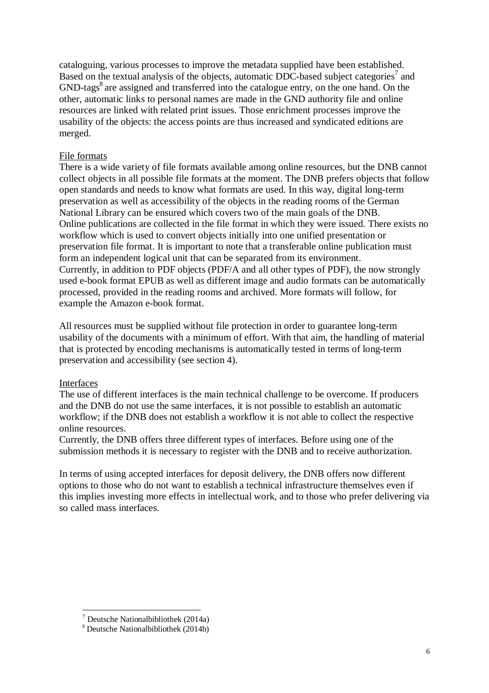cataloguing, various processes to improve the metadata supplied have been established. Based on the textual analysis of the objects, automatic DDC-based subject categories<sup>7</sup> and GND-tags<sup>8</sup> are assigned and transferred into the catalogue entry, on the one hand. On the other, automatic links to personal names are made in the GND authority file and online resources are linked with related print issues. Those enrichment processes improve the usability of the objects: the access points are thus increased and syndicated editions are merged.

#### File formats

There is a wide variety of file formats available among online resources, but the DNB cannot collect objects in all possible file formats at the moment. The DNB prefers objects that follow open standards and needs to know what formats are used. In this way, digital long-term preservation as well as accessibility of the objects in the reading rooms of the German National Library can be ensured which covers two of the main goals of the DNB. Online publications are collected in the file format in which they were issued. There exists no workflow which is used to convert objects initially into one unified presentation or preservation file format. It is important to note that a transferable online publication must form an independent logical unit that can be separated from its environment. Currently, in addition to PDF objects (PDF/A and all other types of PDF), the now strongly used e-book format EPUB as well as different image and audio formats can be automatically processed, provided in the reading rooms and archived. More formats will follow, for example the Amazon e-book format.

All resources must be supplied without file protection in order to guarantee long-term usability of the documents with a minimum of effort. With that aim, the handling of material that is protected by encoding mechanisms is automatically tested in terms of long-term preservation and accessibility (see section 4).

#### Interfaces

 $\overline{a}$ 

The use of different interfaces is the main technical challenge to be overcome. If producers and the DNB do not use the same interfaces, it is not possible to establish an automatic workflow; if the DNB does not establish a workflow it is not able to collect the respective online resources.

Currently, the DNB offers three different types of interfaces. Before using one of the submission methods it is necessary to register with the DNB and to receive authorization.

In terms of using accepted interfaces for deposit delivery, the DNB offers now different options to those who do not want to establish a technical infrastructure themselves even if this implies investing more effects in intellectual work, and to those who prefer delivering via so called mass interfaces.

 $<sup>7</sup>$  Deutsche National bibliothek (2014a)</sup>

<sup>8</sup> Deutsche Nationalbibliothek (2014b)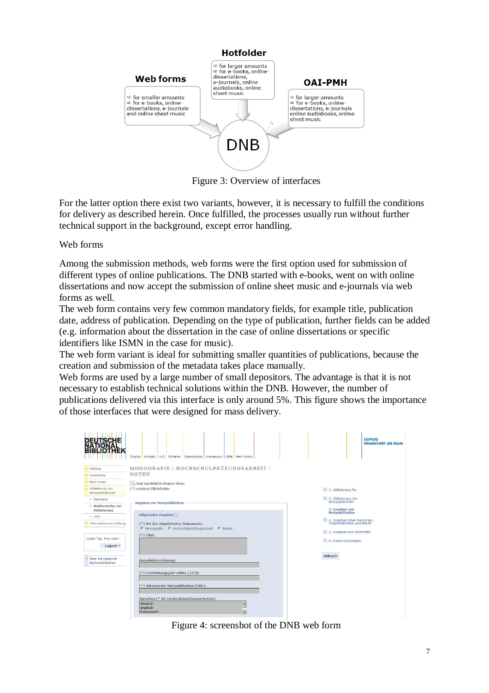

Figure 3: Overview of interfaces

For the latter option there exist two variants, however, it is necessary to fulfill the conditions for delivery as described herein. Once fulfilled, the processes usually run without further technical support in the background, except error handling.

Web forms

Among the submission methods, web forms were the first option used for submission of different types of online publications. The DNB started with e-books, went on with online dissertations and now accept the submission of online sheet music and e-journals via web forms as well.

The web form contains very few common mandatory fields, for example title, publication date, address of publication. Depending on the type of publication, further fields can be added (e.g. information about the dissertation in the case of online dissertations or specific identifiers like ISMN in the case for music).

The web form variant is ideal for submitting smaller quantities of publications, because the creation and submission of the metadata takes place manually.

Web forms are used by a large number of small depositors. The advantage is that it is not necessary to establish technical solutions within the DNB. However, the number of publications delivered via this interface is only around 5%. This figure shows the importance of those interfaces that were designed for mass delivery.

| <b>DEUTSCHE</b><br>NATIONAL<br><b>THEK</b>   | English Kontakt A-Z Förderer Datenschutz Impressum Hilfe Mein Konto                                 | <b>LEIPZIG</b><br><b>FRANKFURT AM MAIN</b>                                               |
|----------------------------------------------|-----------------------------------------------------------------------------------------------------|------------------------------------------------------------------------------------------|
| → Katalog                                    | MONOGRAFIE / HOCHSCHULPRÜFUNGSARBEIT /                                                              |                                                                                          |
| > Datenshop                                  | <b>NOTEN</b>                                                                                        |                                                                                          |
| → Mein Konto                                 | fügt zusätzliche Gruppe hinzu                                                                       |                                                                                          |
| Ablieferung von<br>Netzpublikationen         | (*) markiert Pflichtfelder                                                                          | $\rightarrow$ 1: Ablieferung für                                                         |
| >> Startseite                                | <b>Angaben zur Netzpublikation</b>                                                                  | $\rightarrow$ 2: Ablieferung der<br>Netzpublikation                                      |
| $\rightarrow$ Webformular zur<br>Ablieferung |                                                                                                     | 3: Angaben zur<br>Netzpublikation                                                        |
| -> Hilfe                                     | Allgemeine Angaben                                                                                  |                                                                                          |
| > Informationsvermittlung                    | (*) Art des abgelieferten Dokuments:<br>Monografie C Hochschulprüfungsarbeit C Noten                | → 4: Angaben über Personen,<br>Organisationen und Inhalt<br>+> 5: Angaben zur Startdatei |
| Guten Tag, Frau User!<br>Logout <sup>+</sup> | $(*)$ Titel:                                                                                        | → 6: Daten bestätigen                                                                    |
| > Über die Deutsche<br>Nationalbibliothek    | Ausgabebezeichnung:                                                                                 | Abbruch                                                                                  |
|                                              | (*) Erscheinungsjahr online (JJJJ):                                                                 |                                                                                          |
|                                              | (*) Adresse der Netzpublikation (URL):                                                              |                                                                                          |
|                                              | Sprachen (* für Hochschulprüfungsarbeiten):<br>deutsch<br>$\hat{=}$<br>englisch<br>٠<br>französisch |                                                                                          |

Figure 4: screenshot of the DNB web form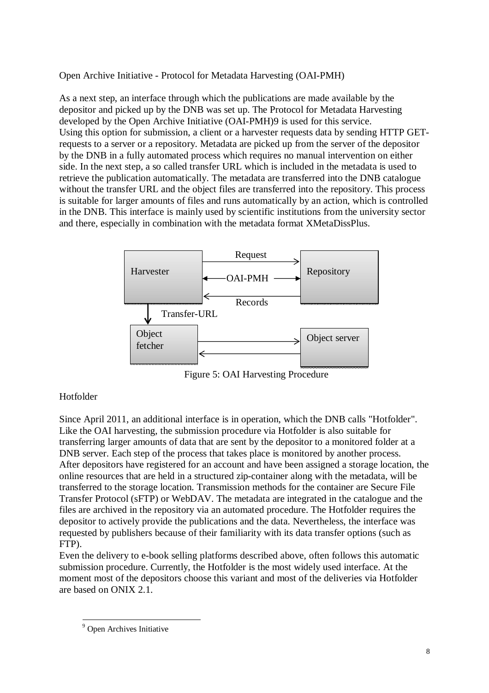Open Archive Initiative - Protocol for Metadata Harvesting (OAI-PMH)

As a next step, an interface through which the publications are made available by the depositor and picked up by the DNB was set up. The Protocol for Metadata Harvesting developed by the Open Archive Initiative (OAI-PMH)9 is used for this service. Using this option for submission, a client or a harvester requests data by sending HTTP GETrequests to a server or a repository. Metadata are picked up from the server of the depositor by the DNB in a fully automated process which requires no manual intervention on either side. In the next step, a so called transfer URL which is included in the metadata is used to retrieve the publication automatically. The metadata are transferred into the DNB catalogue without the transfer URL and the object files are transferred into the repository. This process is suitable for larger amounts of files and runs automatically by an action, which is controlled in the DNB. This interface is mainly used by scientific institutions from the university sector and there, especially in combination with the metadata format XMetaDissPlus.



Figure 5: OAI Harvesting Procedure

### Hotfolder

Since April 2011, an additional interface is in operation, which the DNB calls "Hotfolder". Like the OAI harvesting, the submission procedure via Hotfolder is also suitable for transferring larger amounts of data that are sent by the depositor to a monitored folder at a DNB server. Each step of the process that takes place is monitored by another process. After depositors have registered for an account and have been assigned a storage location, the online resources that are held in a structured zip-container along with the metadata, will be transferred to the storage location. Transmission methods for the container are Secure File Transfer Protocol (sFTP) or WebDAV. The metadata are integrated in the catalogue and the files are archived in the repository via an automated procedure. The Hotfolder requires the depositor to actively provide the publications and the data. Nevertheless, the interface was requested by publishers because of their familiarity with its data transfer options (such as FTP).

Even the delivery to e-book selling platforms described above, often follows this automatic submission procedure. Currently, the Hotfolder is the most widely used interface. At the moment most of the depositors choose this variant and most of the deliveries via Hotfolder are based on ONIX 2.1.

 $\overline{a}$ <sup>9</sup> Open Archives Initiative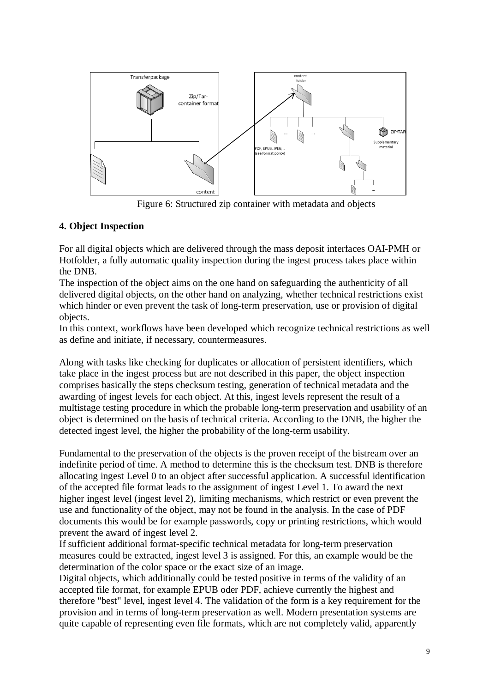

Figure 6: Structured zip container with metadata and objects

### **4. Object Inspection**

For all digital objects which are delivered through the mass deposit interfaces OAI-PMH or Hotfolder, a fully automatic quality inspection during the ingest process takes place within the DNB.

The inspection of the object aims on the one hand on safeguarding the authenticity of all delivered digital objects, on the other hand on analyzing, whether technical restrictions exist which hinder or even prevent the task of long-term preservation, use or provision of digital objects.

In this context, workflows have been developed which recognize technical restrictions as well as define and initiate, if necessary, countermeasures.

Along with tasks like checking for duplicates or allocation of persistent identifiers, which take place in the ingest process but are not described in this paper, the object inspection comprises basically the steps checksum testing, generation of technical metadata and the awarding of ingest levels for each object. At this, ingest levels represent the result of a multistage testing procedure in which the probable long-term preservation and usability of an object is determined on the basis of technical criteria. According to the DNB, the higher the detected ingest level, the higher the probability of the long-term usability.

Fundamental to the preservation of the objects is the proven receipt of the bistream over an indefinite period of time. A method to determine this is the checksum test. DNB is therefore allocating ingest Level 0 to an object after successful application. A successful identification of the accepted file format leads to the assignment of ingest Level 1. To award the next higher ingest level (ingest level 2), limiting mechanisms, which restrict or even prevent the use and functionality of the object, may not be found in the analysis. In the case of PDF documents this would be for example passwords, copy or printing restrictions, which would prevent the award of ingest level 2.

If sufficient additional format-specific technical metadata for long-term preservation measures could be extracted, ingest level 3 is assigned. For this, an example would be the determination of the color space or the exact size of an image.

Digital objects, which additionally could be tested positive in terms of the validity of an accepted file format, for example EPUB oder PDF, achieve currently the highest and therefore "best" level, ingest level 4. The validation of the form is a key requirement for the provision and in terms of long-term preservation as well. Modern presentation systems are quite capable of representing even file formats, which are not completely valid, apparently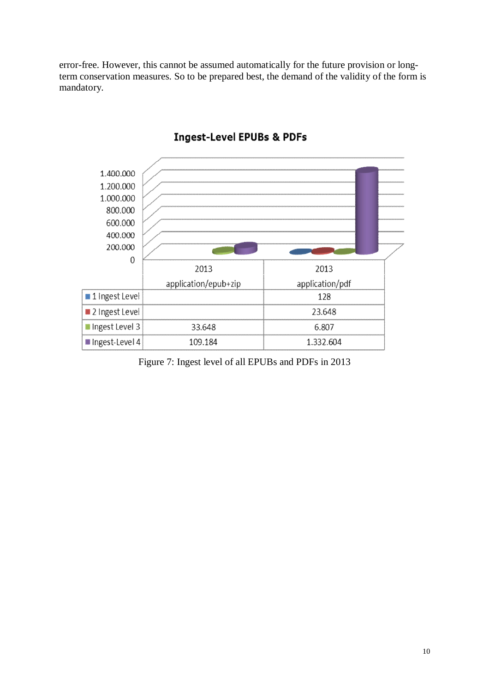error-free. However, this cannot be assumed automatically for the future provision or longterm conservation measures. So to be prepared best, the demand of the validity of the form is mandatory.



# **Ingest-Level EPUBs & PDFs**

Figure 7: Ingest level of all EPUBs and PDFs in 2013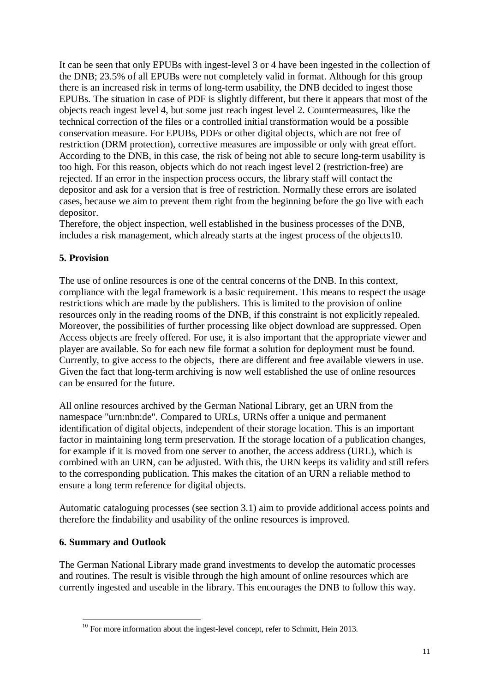It can be seen that only EPUBs with ingest-level 3 or 4 have been ingested in the collection of the DNB; 23.5% of all EPUBs were not completely valid in format. Although for this group there is an increased risk in terms of long-term usability, the DNB decided to ingest those EPUBs. The situation in case of PDF is slightly different, but there it appears that most of the objects reach ingest level 4, but some just reach ingest level 2. Countermeasures, like the technical correction of the files or a controlled initial transformation would be a possible conservation measure. For EPUBs, PDFs or other digital objects, which are not free of restriction (DRM protection), corrective measures are impossible or only with great effort. According to the DNB, in this case, the risk of being not able to secure long-term usability is too high. For this reason, objects which do not reach ingest level 2 (restriction-free) are rejected. If an error in the inspection process occurs, the library staff will contact the depositor and ask for a version that is free of restriction. Normally these errors are isolated cases, because we aim to prevent them right from the beginning before the go live with each depositor.

Therefore, the object inspection, well established in the business processes of the DNB, includes a risk management, which already starts at the ingest process of the objects10.

### **5. Provision**

The use of online resources is one of the central concerns of the DNB. In this context, compliance with the legal framework is a basic requirement. This means to respect the usage restrictions which are made by the publishers. This is limited to the provision of online resources only in the reading rooms of the DNB, if this constraint is not explicitly repealed. Moreover, the possibilities of further processing like object download are suppressed. Open Access objects are freely offered. For use, it is also important that the appropriate viewer and player are available. So for each new file format a solution for deployment must be found. Currently, to give access to the objects, there are different and free available viewers in use. Given the fact that long-term archiving is now well established the use of online resources can be ensured for the future.

All online resources archived by the German National Library, get an URN from the namespace "urn:nbn:de". Compared to URLs, URNs offer a unique and permanent identification of digital objects, independent of their storage location. This is an important factor in maintaining long term preservation. If the storage location of a publication changes, for example if it is moved from one server to another, the access address (URL), which is combined with an URN, can be adjusted. With this, the URN keeps its validity and still refers to the corresponding publication. This makes the citation of an URN a reliable method to ensure a long term reference for digital objects.

Automatic cataloguing processes (see section 3.1) aim to provide additional access points and therefore the findability and usability of the online resources is improved.

### **6. Summary and Outlook**

The German National Library made grand investments to develop the automatic processes and routines. The result is visible through the high amount of online resources which are currently ingested and useable in the library. This encourages the DNB to follow this way.

 $\overline{a}$  $10$  For more information about the ingest-level concept, refer to Schmitt, Hein 2013.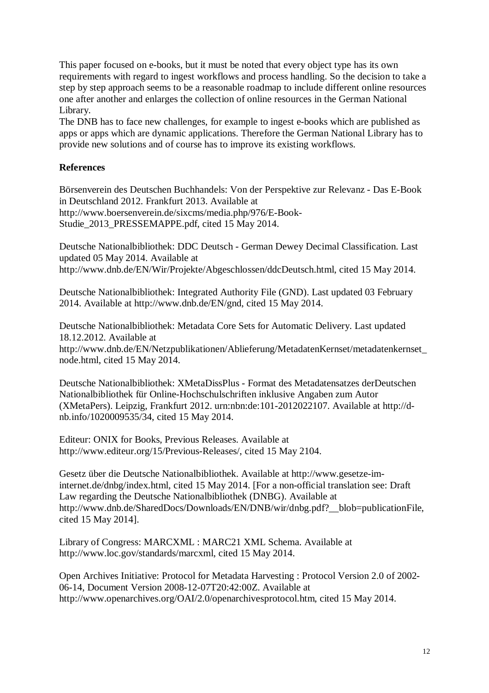This paper focused on e-books, but it must be noted that every object type has its own requirements with regard to ingest workflows and process handling. So the decision to take a step by step approach seems to be a reasonable roadmap to include different online resources one after another and enlarges the collection of online resources in the German National Library.

The DNB has to face new challenges, for example to ingest e-books which are published as apps or apps which are dynamic applications. Therefore the German National Library has to provide new solutions and of course has to improve its existing workflows.

### **References**

Börsenverein des Deutschen Buchhandels: Von der Perspektive zur Relevanz - Das E-Book in Deutschland 2012. Frankfurt 2013. Available at <http://www.boersenverein.de/sixcms/media.php/976/E-Book->Studie\_2013\_PRESSEMAPPE.pdf, cited 15 May 2014.

Deutsche Nationalbibliothek: DDC Deutsch - German Dewey Decimal Classification. Last updated 05 May 2014. Available at <http://www.dnb.de/EN/Wir/Projekte/Abgeschlossen/ddcDeutsch.html,> cited 15 May 2014.

Deutsche Nationalbibliothek: Integrated Authority File (GND). Last updated 03 February 2014. Available at<http://www.dnb.de/EN/gnd,>cited 15 May 2014.

Deutsche Nationalbibliothek: Metadata Core Sets for Automatic Delivery. Last updated 18.12.2012. Available at [http://www.dnb.de/EN/Netzpublikationen/Ablieferung/MetadatenKernset/metadatenkernset\\_](http://www.dnb.de/EN/Netzpublikationen/Ablieferung/MetadatenKernset/metadatenkernset_) node.html, cited 15 May 2014.

Deutsche Nationalbibliothek: XMetaDissPlus - Format des Metadatensatzes derDeutschen Nationalbibliothek für Online-Hochschulschriften inklusive Angaben zum Autor (XMetaPers). Leipzig, Frankfurt 2012. urn:nbn:de:101-2012022107. Available at [http://d](http://d-)nb.info/1020009535/34, cited 15 May 2014.

Editeur: ONIX for Books, Previous Releases. Available at <http://www.editeur.org/15/Previous-Releases/,> cited 15 May 2104.

Gesetz über die Deutsche Nationalbibliothek. Available at [http://www.gesetze-im](http://www.gesetze-im-)internet.de/dnbg/index.html, cited 15 May 2014. [For a non-official translation see: Draft Law regarding the Deutsche Nationalbibliothek (DNBG). Available at [http://www.dnb.de/SharedDocs/Downloads/EN/DNB/wir/dnbg.pdf?\\_\\_blob=publicationFile,](http://www.dnb.de/SharedDocs/Downloads/EN/DNB/wir/dnbg.pdf?__blob=publicationFile,)  cited 15 May 2014].

Library of Congress: MARCXML : MARC21 XML Schema. Available at <http://www.loc.gov/standards/marcxml,>cited 15 May 2014.

Open Archives Initiative: Protocol for Metadata Harvesting : Protocol Version 2.0 of 2002- 06-14, Document Version 2008-12-07T20:42:00Z. Available at <http://www.openarchives.org/OAI/2.0/openarchivesprotocol.htm,>cited 15 May 2014.